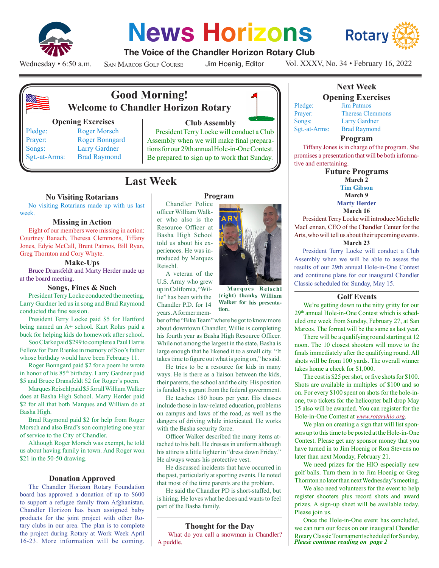

# **News Horizons**



# **The Voice of the Chandler Horizon Rotary Club**

Wednesday • 6:50 a.m.

San Marcos Golf Course

Jim Hoenig, Editor

Vol. XXXV, No. 34 • February 16, 2022



# **Good Morning! Welcome to Chandler Horizon Rotary**

#### **Opening Exercises**

Pledge: Roger Morsch Prayer: Roger Bonngard Songs: Larry Gardner Sgt.-at-Arms: Brad Raymond

# **Club Assembly**

President Terry Locke will conduct a Club Assembly when we will make final preparations for our 29th annual Hole-in-One Contest. Be prepared to sign up to work that Sunday.

**Program**

# **Last Week**

Reischl.

lie" has been with the Chandler P.D. for 14

# **No Visiting Rotarians**

No visiting Rotarians made up with us last week.

#### **Missing in Action**

Eight of our members were missing in action: Courtney Banach, Theresa Clemmons, Tiffany Jones, Edyie McCall, Brent Patmos, Bill Ryan, Greg Thornton and Cory Whyte.

#### **Make-Ups**

Bruce Dransfeldt and Marty Herder made up at the board meeting.

## **Songs, Fines & Such**

President Terry Locke conducted the meeting, Larry Gardner led us in song and Brad Raymond conducted the fine session.

President Terry Locke paid \$5 for Hartford being named an A+ school. Kurt Rohrs paid a buck for helping kids do homework after school.

Soo Clarke paid \$299 to complete a Paul Harris Fellow for Pam Rienke in memory of Soo's father whose birthday would have been February 11.

Roger Bonngard paid \$2 for a poem he wrote in honor of his 85<sup>th</sup> birthday. Larry Gardner paid \$5 and Bruce Dransfeldt \$2 for Roger's poem.

Marques Reischl paid \$5 for all William Walker does at Basha High School. Marty Herder paid \$2 for all that both Marques and William do at Basha High.

Brad Raymond paid \$2 for help from Roger Morsch and also Brad's son completing one year of service to the City of Chandler.

Although Roger Morsch was exempt, he told us about having family in town. And Roger won \$21 in the 50-50 drawing.

## **Donation Approved**

The Chandler Horizon Rotary Foundation board has approved a donation of up to \$600 to support a refugee family from Afghanistan. Chandler Horizon has been assigned baby products for the joint project with other Rotary clubs in our area. The plan is to complete the project during Rotary at Work Week April 16-23. More information will be coming.

#### Chandler Police officer William Walker who also is the Resource Officer at Basha High School told us about his experiences. He was introduced by Marques A veteran of the U.S. Army who grew up in California, "Wil-

**M <sup>a</sup> rq <sup>u</sup> <sup>e</sup> <sup>s</sup> R <sup>e</sup> i <sup>s</sup> <sup>c</sup> h l (right) thanks William Walker for his presentation.** 

years. A former member of the "Bike Team" where he got to know more about downtown Chandler, Willie is completing his fourth year as Basha High Resource Officer. While not among the largest in the state, Basha is large enough that he likened it to a small city. "It takes time to figure out what is going on," he said.

He tries to be a resource for kids in many ways. He is there as a liaison between the kids, their parents, the school and the city. His position is funded by a grant from the federal government.

He teaches 180 hours per year. His classes include those in law-related education, problems on campus and laws of the road, as well as the dangers of driving while intoxicated. He works with the Basha security force.

Officer Walker described the many items attached to his belt. He dresses in uniform although his attire is a little lighter in "dress down Friday." He always wears his protective vest.

He discussed incidents that have occurred in the past, particularly at sporting events. He noted that most of the time parents are the problem.

He said the Chandler PD is short-staffed, but is hiring. He loves what he does and wants to feel part of the Basha family.

## **Thought for the Day**

 What do you call a snowman in Chandler? A puddle.

# **Next Week Opening Exercises**

Pledge: Jim Patmos Prayer: Theresa Clemmons Songs: Larry Gardner Sgt.-at-Arms: Brad Raymond

#### **Program**

Tiffany Jones is in charge of the program. She promises a presentation that will be both informative and entertaining.

> **Future Programs March 2 Tim Gibson March 9 Marty Herder March 16**

President Terry Locke will introduce Michelle MacLennan, CEO of the Chandler Center for the Arts, who will tell us about their upcoming events.

## **March 23**

President Terry Locke will conduct a Club Assembly when we will be able to assess the results of our 29th annual Hole-in-One Contest and continune plans for our inaugural Chandler Classic scheduled for Sunday, May 15.

#### **Golf Events**

We're getting down to the nitty gritty for our 29th annual Hole-in-One Contest which is scheduled one week from Sunday, February 27, at San Marcos. The format will be the same as last year.

There will be a qualifying round starting at 12 noon. The 10 closest shooters will move to the finals immediately after the qualifying round. All shots will be from 100 yards. The overall winner takes home a check for \$1,000.

The cost is \$25 per shot, or five shots for \$100. Shots are available in multiples of \$100 and so on. For every \$100 spent on shots for the hole-inone, two tickets for the helicopter ball drop May 15 also will be awarded. You can register for the Hole-in-One Contest at *www.rotaryhio.org*.

We plan on creating a sign that will list sponsors up to this time to be posted at the Hole-in-One Contest. Please get any sponsor money that you have turned in to Jim Hoenig or Ron Stevens no later than next Monday, February 21.

We need prizes for the HIO especially new golf balls. Turn them in to Jim Hoenig or Greg Thornton no later than next Wednesday's meeting.

We also need volunteers for the event to help register shooters plus record shots and award prizes. A sign-up sheet will be available today. Please join us.

*Please continue reading on page 2* Once the Hole-in-One event has concluded, we can turn our focus on our inaugural Chandler Rotary Classic Tournament scheduled for Sunday,